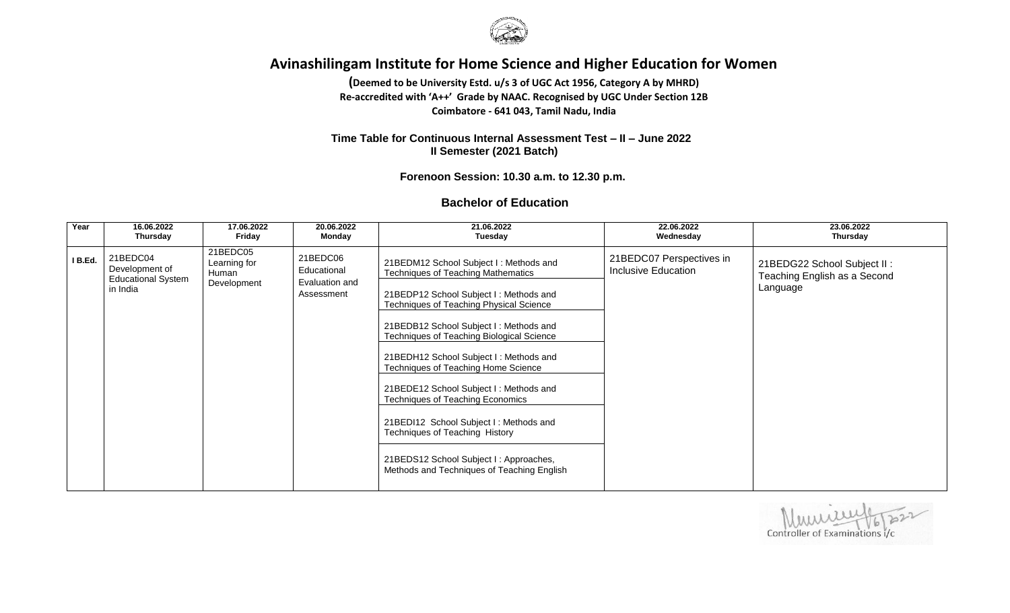

**(Deemed to be University Estd. u/s 3 of UGC Act 1956, Category A by MHRD) Re-accredited with 'A++' Grade by NAAC. Recognised by UGC Under Section 12B Coimbatore - 641 043, Tamil Nadu, India**

 **Time Table for Continuous Internal Assessment Test – II – June 2022 II Semester (2021 Batch)**

 **Forenoon Session: 10.30 a.m. to 12.30 p.m.** 

#### **Bachelor of Education**

| Year    | 16.06.2022                                                          | 17.06.2022                                       | 20.06.2022                                              | 21.06.2022                                                                                                                                                                                                                                                                                                                                                                                                                                                                                                                                                                                                | 22.06.2022                                             | 23.06.2022                                                              |
|---------|---------------------------------------------------------------------|--------------------------------------------------|---------------------------------------------------------|-----------------------------------------------------------------------------------------------------------------------------------------------------------------------------------------------------------------------------------------------------------------------------------------------------------------------------------------------------------------------------------------------------------------------------------------------------------------------------------------------------------------------------------------------------------------------------------------------------------|--------------------------------------------------------|-------------------------------------------------------------------------|
|         | Thursday                                                            | Friday                                           | Monday                                                  | Tuesday                                                                                                                                                                                                                                                                                                                                                                                                                                                                                                                                                                                                   | Wednesday                                              | Thursday                                                                |
| I B.Ed. | 21BEDC04<br>Development of<br><b>Educational System</b><br>in India | 21BEDC05<br>Learning for<br>Human<br>Development | 21BEDC06<br>Educational<br>Evaluation and<br>Assessment | 21BEDM12 School Subject I: Methods and<br><b>Techniques of Teaching Mathematics</b><br>21BEDP12 School Subject I: Methods and<br>Techniques of Teaching Physical Science<br>21BEDB12 School Subject I: Methods and<br>Techniques of Teaching Biological Science<br>21BEDH12 School Subject I: Methods and<br>Techniques of Teaching Home Science<br>21BEDE12 School Subject I: Methods and<br><b>Techniques of Teaching Economics</b><br>21BEDI12 School Subject I: Methods and<br>Techniques of Teaching History<br>21BEDS12 School Subject I: Approaches,<br>Methods and Techniques of Teaching English | 21BEDC07 Perspectives in<br><b>Inclusive Education</b> | 21BEDG22 School Subject II:<br>Teaching English as a Second<br>Language |

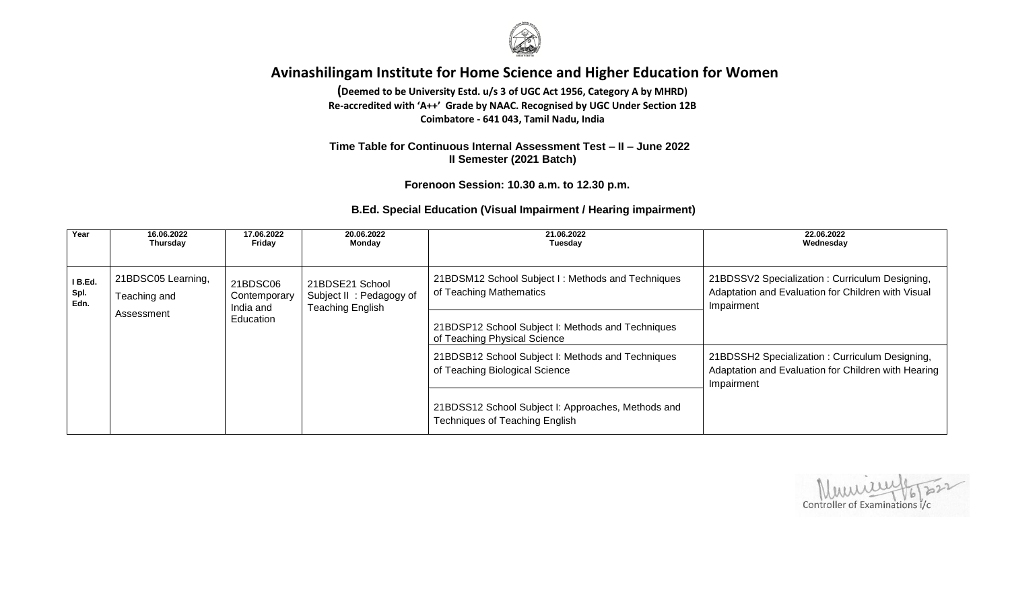

**(Deemed to be University Estd. u/s 3 of UGC Act 1956, Category A by MHRD) Re-accredited with 'A++' Grade by NAAC. Recognised by UGC Under Section 12B Coimbatore - 641 043, Tamil Nadu, India**

#### **Time Table for Continuous Internal Assessment Test – II – June 2022 II Semester (2021 Batch)**

 **Forenoon Session: 10.30 a.m. to 12.30 p.m.**

#### **B.Ed. Special Education (Visual Impairment / Hearing impairment)**

| Year                    | 16.06.2022<br>Thursday                                                                         | 17.06.2022<br>Friday                               | 20.06.2022<br>Monday                                                                        | 21.06.2022<br>Tuesday                                                                                              | 22.06.2022<br>Wednesday                                                                                             |
|-------------------------|------------------------------------------------------------------------------------------------|----------------------------------------------------|---------------------------------------------------------------------------------------------|--------------------------------------------------------------------------------------------------------------------|---------------------------------------------------------------------------------------------------------------------|
| I B.Ed.<br>Spl.<br>Edn. | 21BDSC05 Learning,<br>21BDSC06<br>21BDSE21 School<br>Teaching and<br>Contemporary<br>India and | Subject II: Pedagogy of<br><b>Teaching English</b> | 21BDSM12 School Subject I: Methods and Techniques<br>of Teaching Mathematics                | 21BDSSV2 Specialization: Curriculum Designing,<br>Adaptation and Evaluation for Children with Visual<br>Impairment |                                                                                                                     |
|                         | Assessment                                                                                     | Education                                          |                                                                                             | 21BDSP12 School Subject I: Methods and Techniques<br>of Teaching Physical Science                                  |                                                                                                                     |
|                         |                                                                                                |                                                    |                                                                                             | 21BDSB12 School Subject I: Methods and Techniques<br>of Teaching Biological Science                                | 21BDSSH2 Specialization: Curriculum Designing,<br>Adaptation and Evaluation for Children with Hearing<br>Impairment |
|                         |                                                                                                |                                                    | 21BDSS12 School Subject I: Approaches, Methods and<br><b>Techniques of Teaching English</b> |                                                                                                                    |                                                                                                                     |

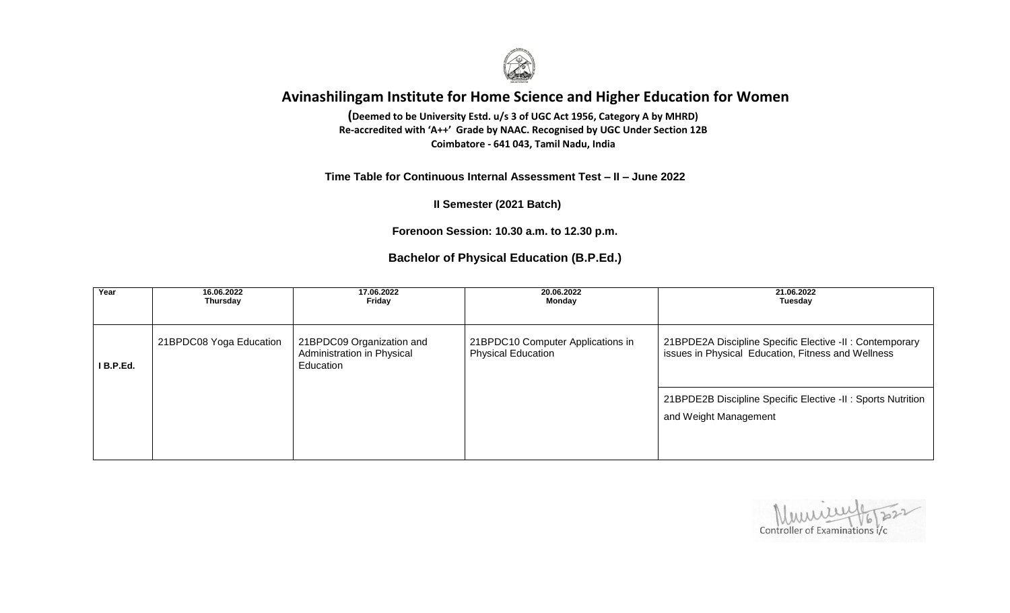

 **Coimbatore - 641 043, Tamil Nadu, India(Deemed to be University Estd. u/s 3 of UGC Act 1956, Category A by MHRD) Re-accredited with 'A++' Grade by NAAC. Recognised by UGC Under Section 12B**

#### **Time Table for Continuous Internal Assessment Test – II – June 2022**

 **II Semester (2021 Batch)**

**Forenoon Session: 10.30 a.m. to 12.30 p.m.**

### **Bachelor of Physical Education (B.P.Ed.)**

| Year        | 16.06.2022<br>Thursday  | 17.06.2022<br>Friday                                                 | 20.06.2022<br>Monday                                           | 21.06.2022<br>Tuesday                                                                                          |
|-------------|-------------------------|----------------------------------------------------------------------|----------------------------------------------------------------|----------------------------------------------------------------------------------------------------------------|
|             |                         |                                                                      |                                                                |                                                                                                                |
| $I$ B.P.Ed. | 21BPDC08 Yoga Education | 21BPDC09 Organization and<br>Administration in Physical<br>Education | 21BPDC10 Computer Applications in<br><b>Physical Education</b> | 21BPDE2A Discipline Specific Elective -II : Contemporary<br>issues in Physical Education, Fitness and Wellness |
|             |                         |                                                                      |                                                                | 21BPDE2B Discipline Specific Elective -II: Sports Nutrition<br>and Weight Management                           |
|             |                         |                                                                      |                                                                |                                                                                                                |

Controller of Examinations i/c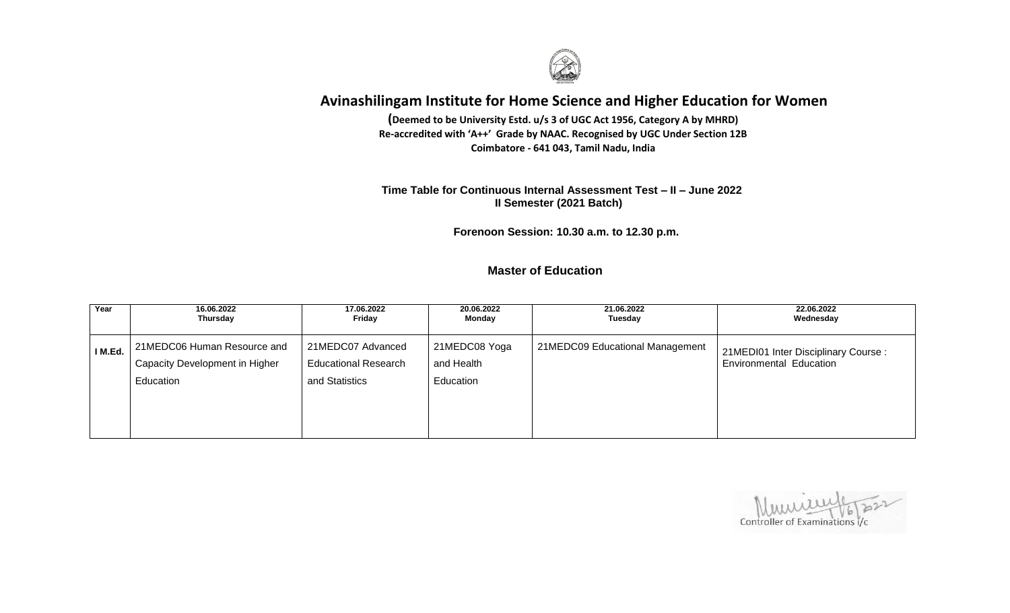

**(Deemed to be University Estd. u/s 3 of UGC Act 1956, Category A by MHRD) Re-accredited with 'A++' Grade by NAAC. Recognised by UGC Under Section 12B Coimbatore - 641 043, Tamil Nadu, India**

 **Time Table for Continuous Internal Assessment Test – II – June 2022 II Semester (2021 Batch)**

 **Forenoon Session: 10.30 a.m. to 12.30 p.m.** 

 **Master of Education**

| Year    | 16.06.2022                                                                 | 17.06.2022                                                         | 20.06.2022                               | 21.06.2022                      | 22.06.2022                                                            |
|---------|----------------------------------------------------------------------------|--------------------------------------------------------------------|------------------------------------------|---------------------------------|-----------------------------------------------------------------------|
|         | Thursday                                                                   | Friday                                                             | Monday                                   | Tuesday                         | Wednesday                                                             |
| I M.Ed. | 21MEDC06 Human Resource and<br>Capacity Development in Higher<br>Education | 21MEDC07 Advanced<br><b>Educational Research</b><br>and Statistics | 21MEDC08 Yoga<br>and Health<br>Education | 21MEDC09 Educational Management | 21MEDI01 Inter Disciplinary Course:<br><b>Environmental Education</b> |

Controller of Examinations i/c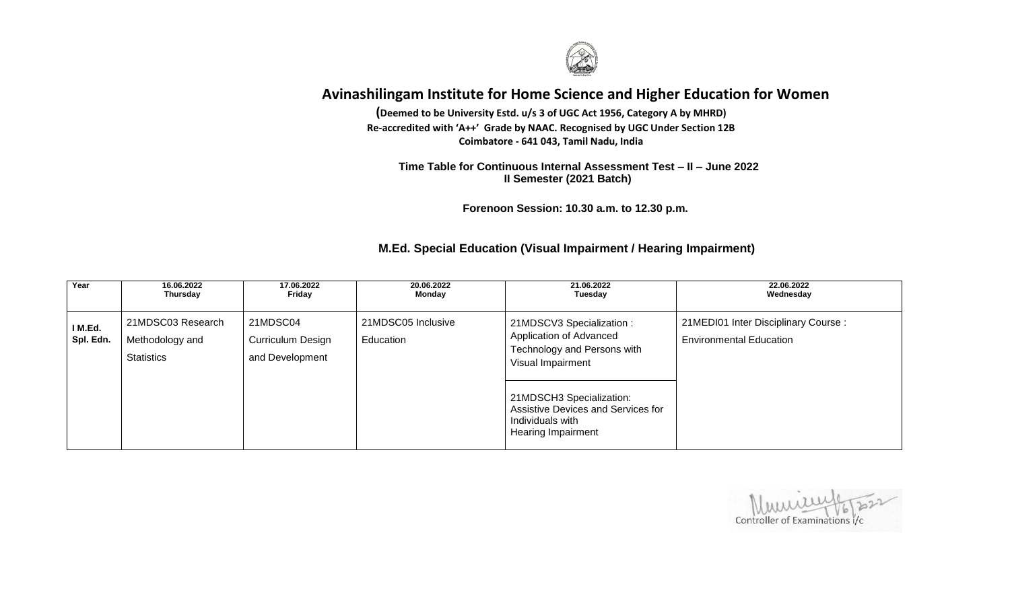

**(Deemed to be University Estd. u/s 3 of UGC Act 1956, Category A by MHRD) Re-accredited with 'A++' Grade by NAAC. Recognised by UGC Under Section 12B Coimbatore - 641 043, Tamil Nadu, India**

 **Time Table for Continuous Internal Assessment Test – II – June 2022 II Semester (2021 Batch)**

 **Forenoon Session: 10.30 a.m. to 12.30 p.m.** 

### **M.Ed. Special Education (Visual Impairment / Hearing Impairment)**

| Year                 | 16.06.2022                                                | 17.06.2022                                       | 20.06.2022                      | 21.06.2022                                                                                                                                                                                                           | 22.06.2022                                                            |
|----------------------|-----------------------------------------------------------|--------------------------------------------------|---------------------------------|----------------------------------------------------------------------------------------------------------------------------------------------------------------------------------------------------------------------|-----------------------------------------------------------------------|
|                      | Thursday                                                  | Friday                                           | Monday                          | Tuesday                                                                                                                                                                                                              | Wednesday                                                             |
| I M.Ed.<br>Spl. Edn. | 21MDSC03 Research<br>Methodology and<br><b>Statistics</b> | 21MDSC04<br>Curriculum Design<br>and Development | 21MDSC05 Inclusive<br>Education | 21MDSCV3 Specialization :<br>Application of Advanced<br>Technology and Persons with<br>Visual Impairment<br>21MDSCH3 Specialization:<br>Assistive Devices and Services for<br>Individuals with<br>Hearing Impairment | 21MEDI01 Inter Disciplinary Course:<br><b>Environmental Education</b> |

Controller of Examinations i/c